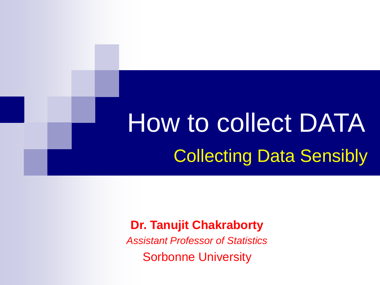# How to collect DATA Collecting Data Sensibly

#### **Dr. Tanujit Chakraborty**

*Assistant Professor of Statistics* Sorbonne University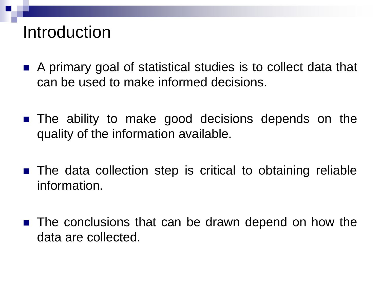### Introduction

- A primary goal of statistical studies is to collect data that can be used to make informed decisions.
- $\blacksquare$  The ability to make good decisions depends on the quality of the information available.
- **The data collection step is critical to obtaining reliable** information.
- The conclusions that can be drawn depend on how the data are collected.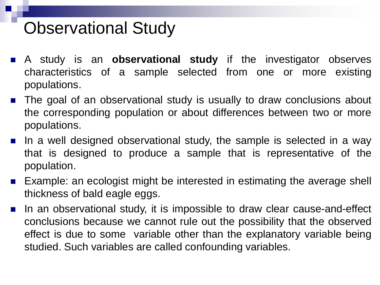### Observational Study

- A study is an **observational study** if the investigator observes characteristics of a sample selected from one or more existing populations.
- The goal of an observational study is usually to draw conclusions about the corresponding population or about differences between two or more populations.
- $\blacksquare$  In a well designed observational study, the sample is selected in a way that is designed to produce a sample that is representative of the population.
- **Example: an ecologist might be interested in estimating the average shell** thickness of bald eagle eggs.
- **In an observational study, it is impossible to draw clear cause-and-effect** conclusions because we cannot rule out the possibility that the observed effect is due to some variable other than the explanatory variable being studied. Such variables are called confounding variables.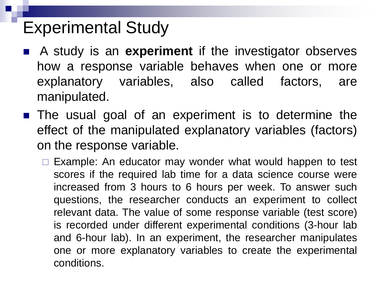### Experimental Study

- A study is an **experiment** if the investigator observes how a response variable behaves when one or more explanatory variables, also called factors, are manipulated.
- **The usual goal of an experiment is to determine the** effect of the manipulated explanatory variables (factors) on the response variable.
	- $\Box$  Example: An educator may wonder what would happen to test scores if the required lab time for a data science course were increased from 3 hours to 6 hours per week. To answer such questions, the researcher conducts an experiment to collect relevant data. The value of some response variable (test score) is recorded under different experimental conditions (3-hour lab and 6-hour lab). In an experiment, the researcher manipulates one or more explanatory variables to create the experimental conditions.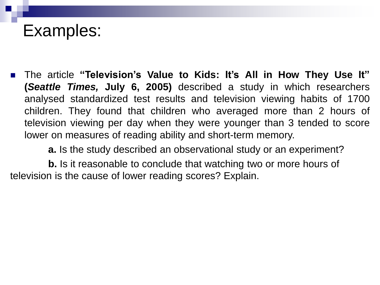### Examples:

 The article **"Television's Value to Kids: It's All in How They Use It" (***Seattle Times,* **July 6, 2005)** described a study in which researchers analysed standardized test results and television viewing habits of 1700 children. They found that children who averaged more than 2 hours of television viewing per day when they were younger than 3 tended to score lower on measures of reading ability and short-term memory.

**a.** Is the study described an observational study or an experiment?

**b.** Is it reasonable to conclude that watching two or more hours of television is the cause of lower reading scores? Explain.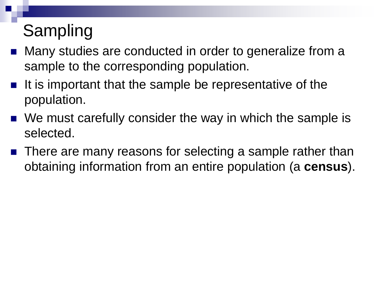# Sampling

- Many studies are conducted in order to generalize from a sample to the corresponding population.
- $\blacksquare$  It is important that the sample be representative of the population.
- We must carefully consider the way in which the sample is selected.
- There are many reasons for selecting a sample rather than obtaining information from an entire population (a **census**).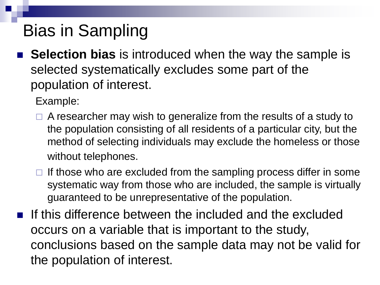### Bias in Sampling

 **Selection bias** is introduced when the way the sample is selected systematically excludes some part of the population of interest.

Example:

- $\Box$  A researcher may wish to generalize from the results of a study to the population consisting of all residents of a particular city, but the method of selecting individuals may exclude the homeless or those without telephones.
- $\Box$  If those who are excluded from the sampling process differ in some systematic way from those who are included, the sample is virtually guaranteed to be unrepresentative of the population.
- **If this difference between the included and the excluded** occurs on a variable that is important to the study, conclusions based on the sample data may not be valid for the population of interest.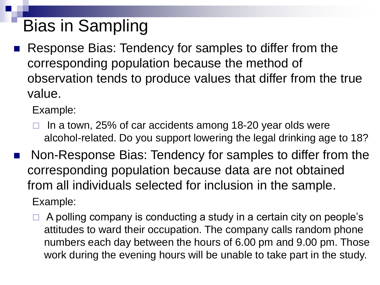### Bias in Sampling

 Response Bias: Tendency for samples to differ from the corresponding population because the method of observation tends to produce values that differ from the true value.

Example:

- In a town, 25% of car accidents among 18-20 year olds were alcohol-related. Do you support lowering the legal drinking age to 18?
- Non-Response Bias: Tendency for samples to differ from the corresponding population because data are not obtained from all individuals selected for inclusion in the sample. Example:
	- $\Box$  A polling company is conducting a study in a certain city on people's attitudes to ward their occupation. The company calls random phone numbers each day between the hours of 6.00 pm and 9.00 pm. Those work during the evening hours will be unable to take part in the study.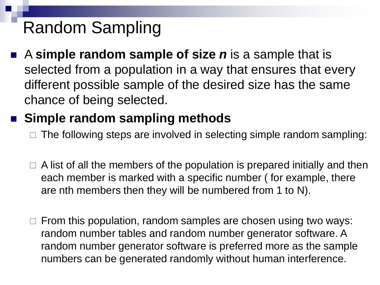### Random Sampling

■ A simple random sample of size *n* is a sample that is selected from a population in a way that ensures that every different possible sample of the desired size has the same chance of being selected.

#### **Simple random sampling methods**

- The following steps are involved in selecting simple random sampling:
- A list of all the members of the population is prepared initially and then each member is marked with a specific number ( for example, there are nth members then they will be numbered from 1 to N).
- From this population, random samples are chosen using two ways: random number tables and random number generator software. A random number generator software is preferred more as the sample numbers can be generated randomly without human interference.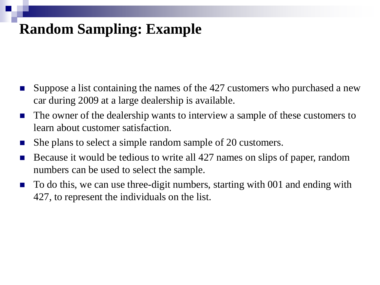#### **Random Sampling: Example**

- Suppose a list containing the names of the 427 customers who purchased a new car during 2009 at a large dealership is available.
- The owner of the dealership wants to interview a sample of these customers to learn about customer satisfaction.
- She plans to select a simple random sample of 20 customers.
- Because it would be tedious to write all 427 names on slips of paper, random numbers can be used to select the sample.
- To do this, we can use three-digit numbers, starting with 001 and ending with 427, to represent the individuals on the list.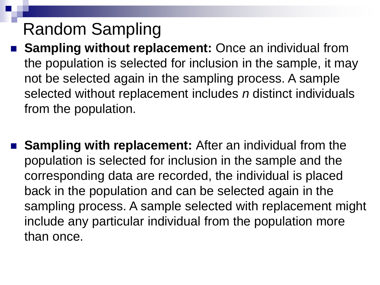### Random Sampling

- **Sampling without replacement:** Once an individual from the population is selected for inclusion in the sample, it may not be selected again in the sampling process. A sample selected without replacement includes *n* distinct individuals from the population.
- **Sampling with replacement:** After an individual from the population is selected for inclusion in the sample and the corresponding data are recorded, the individual is placed back in the population and can be selected again in the sampling process. A sample selected with replacement might include any particular individual from the population more than once.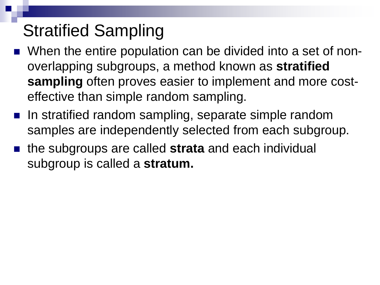# Stratified Sampling

- When the entire population can be divided into a set of nonoverlapping subgroups, a method known as **stratified sampling** often proves easier to implement and more costeffective than simple random sampling.
- **If** In stratified random sampling, separate simple random samples are independently selected from each subgroup.
- the subgroups are called **strata** and each individual subgroup is called a **stratum.**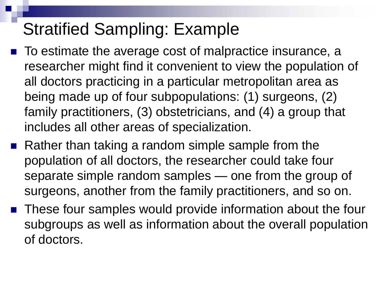### Stratified Sampling: Example

- To estimate the average cost of malpractice insurance, a researcher might find it convenient to view the population of all doctors practicing in a particular metropolitan area as being made up of four subpopulations: (1) surgeons, (2) family practitioners, (3) obstetricians, and (4) a group that includes all other areas of specialization.
- Rather than taking a random simple sample from the population of all doctors, the researcher could take four separate simple random samples — one from the group of surgeons, another from the family practitioners, and so on.
- These four samples would provide information about the four subgroups as well as information about the overall population of doctors.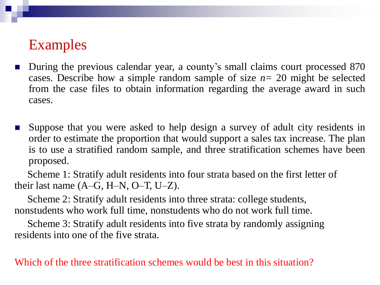#### Examples

- During the previous calendar year, a county's small claims court processed 870 cases. Describe how a simple random sample of size *n=* 20 might be selected from the case files to obtain information regarding the average award in such cases.
- Suppose that you were asked to help design a survey of adult city residents in order to estimate the proportion that would support a sales tax increase. The plan is to use a stratified random sample, and three stratification schemes have been proposed.

Scheme 1: Stratify adult residents into four strata based on the first letter of their last name  $(A-G, H-N, O-T, U-Z)$ .

Scheme 2: Stratify adult residents into three strata: college students, nonstudents who work full time, nonstudents who do not work full time.

Scheme 3: Stratify adult residents into five strata by randomly assigning residents into one of the five strata.

#### Which of the three stratification schemes would be best in this situation?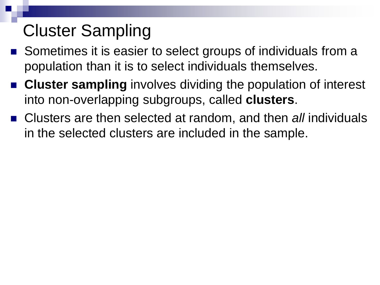### Cluster Sampling

- Sometimes it is easier to select groups of individuals from a population than it is to select individuals themselves.
- **Cluster sampling** involves dividing the population of interest into non-overlapping subgroups, called **clusters**.
- Clusters are then selected at random, and then *all* individuals in the selected clusters are included in the sample.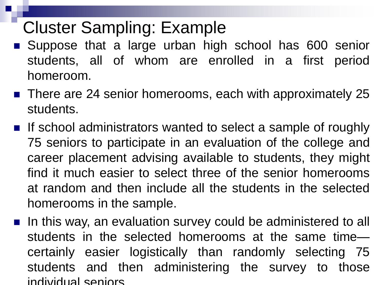### Cluster Sampling: Example

- Suppose that a large urban high school has 600 senior students, all of whom are enrolled in a first period homeroom.
- There are 24 senior homerooms, each with approximately 25 students.
- If school administrators wanted to select a sample of roughly 75 seniors to participate in an evaluation of the college and career placement advising available to students, they might find it much easier to select three of the senior homerooms at random and then include all the students in the selected homerooms in the sample.
- In this way, an evaluation survey could be administered to all students in the selected homerooms at the same time certainly easier logistically than randomly selecting 75 students and then administering the survey to those individual seniors.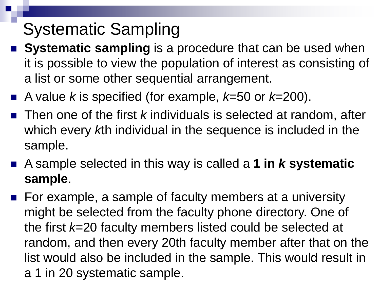### Systematic Sampling

- **Systematic sampling** is a procedure that can be used when it is possible to view the population of interest as consisting of a list or some other sequential arrangement.
- A value *k* is specified (for example, *k*=50 or *k*=200).
- Then one of the first *k* individuals is selected at random, after which every *k*th individual in the sequence is included in the sample.
- A sample selected in this way is called a **1 in** *k* **systematic sample**.
- For example, a sample of faculty members at a university might be selected from the faculty phone directory. One of the first *k=*20 faculty members listed could be selected at random, and then every 20th faculty member after that on the list would also be included in the sample. This would result in a 1 in 20 systematic sample.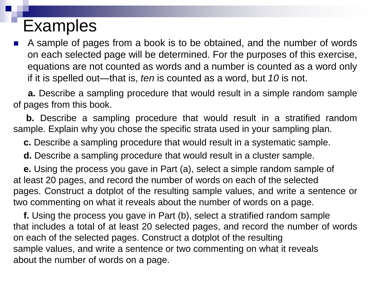### Examples

 A sample of pages from a book is to be obtained, and the number of words on each selected page will be determined. For the purposes of this exercise, equations are not counted as words and a number is counted as a word only if it is spelled out—that is, *ten* is counted as a word, but *10* is not.

**a.** Describe a sampling procedure that would result in a simple random sample of pages from this book.

**b.** Describe a sampling procedure that would result in a stratified random sample. Explain why you chose the specific strata used in your sampling plan.

**c.** Describe a sampling procedure that would result in a systematic sample.

**d.** Describe a sampling procedure that would result in a cluster sample.

**e.** Using the process you gave in Part (a), select a simple random sample of at least 20 pages, and record the number of words on each of the selected pages. Construct a dotplot of the resulting sample values, and write a sentence or two commenting on what it reveals about the number of words on a page.

**f.** Using the process you gave in Part (b), select a stratified random sample that includes a total of at least 20 selected pages, and record the number of words on each of the selected pages. Construct a dotplot of the resulting sample values, and write a sentence or two commenting on what it reveals about the number of words on a page.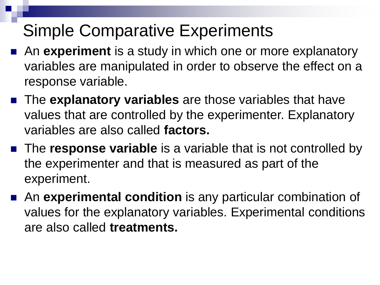### Simple Comparative Experiments

- An experiment is a study in which one or more explanatory variables are manipulated in order to observe the effect on a response variable.
- **The explanatory variables** are those variables that have values that are controlled by the experimenter. Explanatory variables are also called **factors.**
- The **response variable** is a variable that is not controlled by the experimenter and that is measured as part of the experiment.
- An **experimental condition** is any particular combination of values for the explanatory variables. Experimental conditions are also called **treatments.**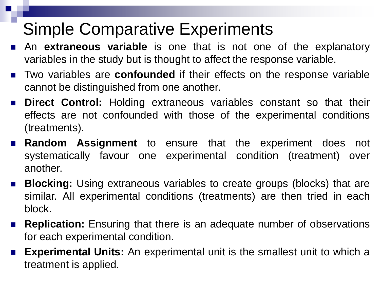### Simple Comparative Experiments

- An **extraneous variable** is one that is not one of the explanatory variables in the study but is thought to affect the response variable.
- Two variables are **confounded** if their effects on the response variable cannot be distinguished from one another.
- **Direct Control:** Holding extraneous variables constant so that their effects are not confounded with those of the experimental conditions (treatments).
- **Random Assignment** to ensure that the experiment does not systematically favour one experimental condition (treatment) over another.
- **Blocking:** Using extraneous variables to create groups (blocks) that are similar. All experimental conditions (treatments) are then tried in each block.
- **Replication:** Ensuring that there is an adequate number of observations for each experimental condition.
- **Experimental Units:** An experimental unit is the smallest unit to which a treatment is applied.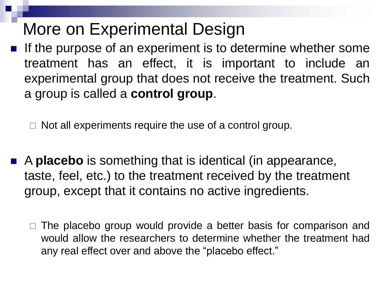### More on Experimental Design

 $\blacksquare$  If the purpose of an experiment is to determine whether some treatment has an effect, it is important to include an experimental group that does not receive the treatment. Such a group is called a **control group**.

Not all experiments require the use of a control group.

- A **placebo** is something that is identical (in appearance, taste, feel, etc.) to the treatment received by the treatment group, except that it contains no active ingredients.
	- The placebo group would provide a better basis for comparison and would allow the researchers to determine whether the treatment had any real effect over and above the "placebo effect."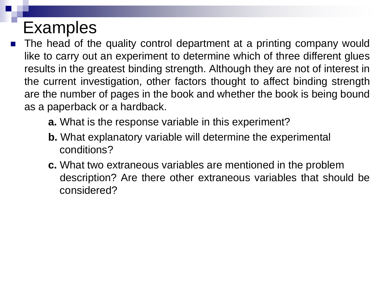### Examples

- The head of the quality control department at a printing company would like to carry out an experiment to determine which of three different glues results in the greatest binding strength. Although they are not of interest in the current investigation, other factors thought to affect binding strength are the number of pages in the book and whether the book is being bound as a paperback or a hardback.
	- **a.** What is the response variable in this experiment?
	- **b.** What explanatory variable will determine the experimental conditions?
	- **c.** What two extraneous variables are mentioned in the problem description? Are there other extraneous variables that should be considered?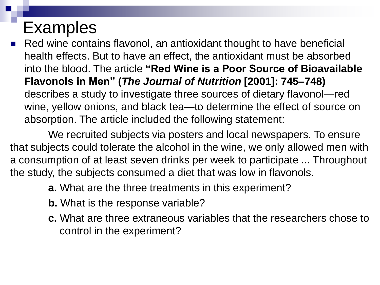### Examples

 Red wine contains flavonol, an antioxidant thought to have beneficial health effects. But to have an effect, the antioxidant must be absorbed into the blood. The article **"Red Wine is a Poor Source of Bioavailable Flavonols in Men" (***The Journal of Nutrition* **[2001]: 745–748)**  describes a study to investigate three sources of dietary flavonol—red wine, yellow onions, and black tea—to determine the effect of source on absorption. The article included the following statement:

We recruited subjects via posters and local newspapers. To ensure that subjects could tolerate the alcohol in the wine, we only allowed men with a consumption of at least seven drinks per week to participate ... Throughout the study, the subjects consumed a diet that was low in flavonols.

- **a.** What are the three treatments in this experiment?
- **b.** What is the response variable?
- **c.** What are three extraneous variables that the researchers chose to control in the experiment?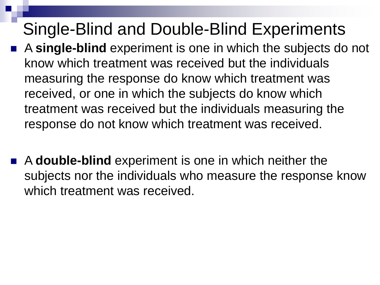### Single-Blind and Double-Blind Experiments

- A single-blind experiment is one in which the subjects do not know which treatment was received but the individuals measuring the response do know which treatment was received, or one in which the subjects do know which treatment was received but the individuals measuring the response do not know which treatment was received.
- A **double-blind** experiment is one in which neither the subjects nor the individuals who measure the response know which treatment was received.